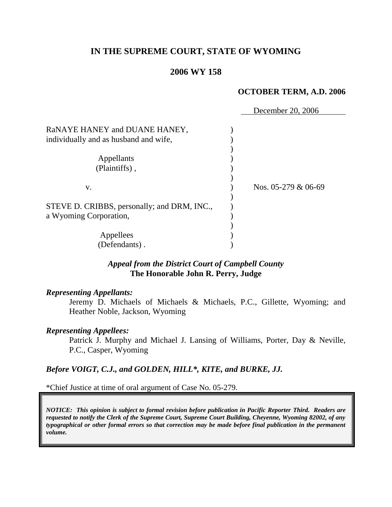# **IN THE SUPREME COURT, STATE OF WYOMING**

### **2006 WY 158**

#### **OCTOBER TERM, A.D. 2006**

|                                                                        | December 20, 2006       |
|------------------------------------------------------------------------|-------------------------|
| RaNAYE HANEY and DUANE HANEY,<br>individually and as husband and wife, |                         |
| Appellants<br>(Plaintiffs),                                            |                         |
| V.                                                                     | Nos. $05-279$ & $06-69$ |
| STEVE D. CRIBBS, personally; and DRM, INC.,<br>a Wyoming Corporation,  |                         |
| Appellees<br>(Defendants).                                             |                         |

### *Appeal from the District Court of Campbell County* **The Honorable John R. Perry, Judge**

#### *Representing Appellants:*

Jeremy D. Michaels of Michaels & Michaels, P.C., Gillette, Wyoming; and Heather Noble, Jackson, Wyoming

#### *Representing Appellees:*

Patrick J. Murphy and Michael J. Lansing of Williams, Porter, Day & Neville, P.C., Casper, Wyoming

#### *Before VOIGT, C.J., and GOLDEN, HILL\*, KITE, and BURKE, JJ.*

\*Chief Justice at time of oral argument of Case No. 05-279.

*NOTICE: This opinion is subject to formal revision before publication in Pacific Reporter Third. Readers are requested to notify the Clerk of the Supreme Court, Supreme Court Building, Cheyenne, Wyoming 82002, of any typographical or other formal errors so that correction may be made before final publication in the permanent volume.*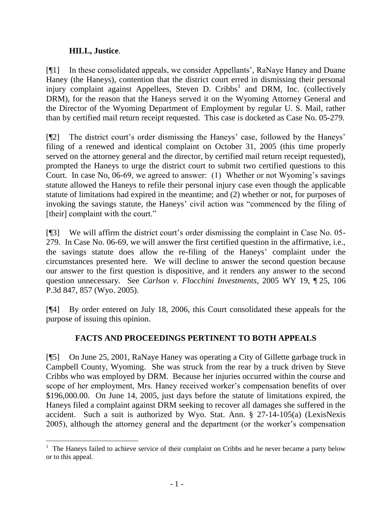# **HILL, Justice**.

l

[¶1] In these consolidated appeals, we consider Appellants', RaNaye Haney and Duane Haney (the Haneys), contention that the district court erred in dismissing their personal injury complaint against Appellees, Steven D. Cribbs<sup>1</sup> and DRM, Inc. (collectively DRM), for the reason that the Haneys served it on the Wyoming Attorney General and the Director of the Wyoming Department of Employment by regular U. S. Mail, rather than by certified mail return receipt requested. This case is docketed as Case No. 05-279.

[¶2] The district court's order dismissing the Haneys' case, followed by the Haneys' filing of a renewed and identical complaint on October 31, 2005 (this time properly served on the attorney general and the director, by certified mail return receipt requested), prompted the Haneys to urge the district court to submit two certified questions to this Court. In case No, 06-69, we agreed to answer: (1) Whether or not Wyoming's savings statute allowed the Haneys to refile their personal injury case even though the applicable statute of limitations had expired in the meantime; and (2) whether or not, for purposes of invoking the savings statute, the Haneys' civil action was "commenced by the filing of [their] complaint with the court."

[¶3] We will affirm the district court's order dismissing the complaint in Case No. 05- 279. In Case No. 06-69, we will answer the first certified question in the affirmative, i.e., the savings statute does allow the re-filing of the Haneys' complaint under the circumstances presented here. We will decline to answer the second question because our answer to the first question is dispositive, and it renders any answer to the second question unnecessary. See *Carlson v. Flocchini Investments*, 2005 WY 19, ¶ 25, 106 P.3d 847, 857 (Wyo. 2005).

[¶4] By order entered on July 18, 2006, this Court consolidated these appeals for the purpose of issuing this opinion.

# **FACTS AND PROCEEDINGS PERTINENT TO BOTH APPEALS**

[¶5] On June 25, 2001, RaNaye Haney was operating a City of Gillette garbage truck in Campbell County, Wyoming. She was struck from the rear by a truck driven by Steve Cribbs who was employed by DRM. Because her injuries occurred within the course and scope of her employment, Mrs. Haney received worker's compensation benefits of over \$196,000.00. On June 14, 2005, just days before the statute of limitations expired, the Haneys filed a complaint against DRM seeking to recover all damages she suffered in the accident. Such a suit is authorized by Wyo. Stat. Ann. § 27-14-105(a) (LexisNexis 2005), although the attorney general and the department (or the worker's compensation

<sup>&</sup>lt;sup>1</sup> The Haneys failed to achieve service of their complaint on Cribbs and he never became a party below or to this appeal.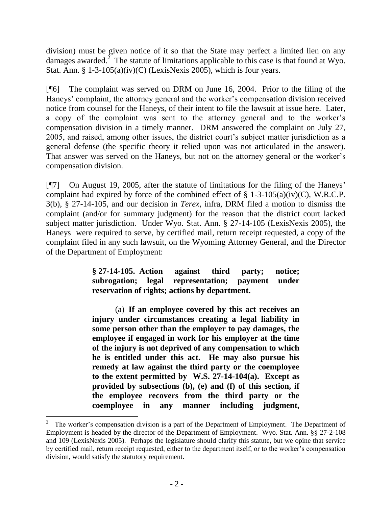division) must be given notice of it so that the State may perfect a limited lien on any damages awarded.<sup>2</sup> The statute of limitations applicable to this case is that found at Wyo. Stat. Ann. §  $1-3-105(a)(iv)(C)$  (LexisNexis 2005), which is four years.

[¶6] The complaint was served on DRM on June 16, 2004. Prior to the filing of the Haneys' complaint, the attorney general and the worker's compensation division received notice from counsel for the Haneys, of their intent to file the lawsuit at issue here. Later, a copy of the complaint was sent to the attorney general and to the worker's compensation division in a timely manner. DRM answered the complaint on July 27, 2005, and raised, among other issues, the district court's subject matter jurisdiction as a general defense (the specific theory it relied upon was not articulated in the answer). That answer was served on the Haneys, but not on the attorney general or the worker's compensation division.

[¶7] On August 19, 2005, after the statute of limitations for the filing of the Haneys' complaint had expired by force of the combined effect of  $\S$  1-3-105(a)(iv)(C), W.R.C.P. 3(b), § 27-14-105, and our decision in *Terex*, infra, DRM filed a motion to dismiss the complaint (and/or for summary judgment) for the reason that the district court lacked subject matter jurisdiction. Under Wyo. Stat. Ann. § 27-14-105 (LexisNexis 2005), the Haneys were required to serve, by certified mail, return receipt requested, a copy of the complaint filed in any such lawsuit, on the Wyoming Attorney General, and the Director of the Department of Employment:

> **§ 27-14-105. Action against third party; notice; subrogation; legal representation; payment under reservation of rights; actions by department.**

> (a) **If an employee covered by this act receives an injury under circumstances creating a legal liability in some person other than the employer to pay damages, the employee if engaged in work for his employer at the time of the injury is not deprived of any compensation to which he is entitled under this act. He may also pursue his remedy at law against the third party or the coemployee to the extent permitted by W.S. 27-14-104(a). Except as provided by subsections (b), (e) and (f) of this section, if the employee recovers from the third party or the coemployee in any manner including judgment,**

<sup>2</sup> The worker's compensation division is a part of the Department of Employment. The Department of Employment is headed by the director of the Department of Employment. Wyo. Stat. Ann. §§ 27-2-108 and 109 (LexisNexis 2005). Perhaps the legislature should clarify this statute, but we opine that service by certified mail, return receipt requested, either to the department itself, or to the worker's compensation division, would satisfy the statutory requirement.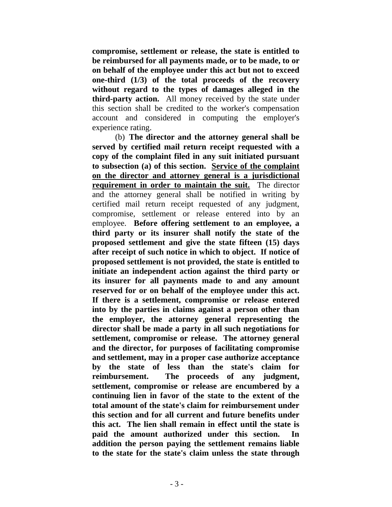**compromise, settlement or release, the state is entitled to be reimbursed for all payments made, or to be made, to or on behalf of the employee under this act but not to exceed one-third (1/3) of the total proceeds of the recovery without regard to the types of damages alleged in the third-party action.** All money received by the state under this section shall be credited to the worker's compensation account and considered in computing the employer's experience rating.

(b) **The director and the attorney general shall be served by certified mail return receipt requested with a copy of the complaint filed in any suit initiated pursuant to subsection (a) of this section. Service of the complaint on the director and attorney general is a jurisdictional requirement in order to maintain the suit.** The director and the attorney general shall be notified in writing by certified mail return receipt requested of any judgment, compromise, settlement or release entered into by an employee. **Before offering settlement to an employee, a third party or its insurer shall notify the state of the proposed settlement and give the state fifteen (15) days after receipt of such notice in which to object. If notice of proposed settlement is not provided, the state is entitled to initiate an independent action against the third party or its insurer for all payments made to and any amount reserved for or on behalf of the employee under this act. If there is a settlement, compromise or release entered into by the parties in claims against a person other than the employer, the attorney general representing the director shall be made a party in all such negotiations for settlement, compromise or release. The attorney general and the director, for purposes of facilitating compromise and settlement, may in a proper case authorize acceptance by the state of less than the state's claim for reimbursement. The proceeds of any judgment, settlement, compromise or release are encumbered by a continuing lien in favor of the state to the extent of the total amount of the state's claim for reimbursement under this section and for all current and future benefits under this act. The lien shall remain in effect until the state is paid the amount authorized under this section. In addition the person paying the settlement remains liable to the state for the state's claim unless the state through**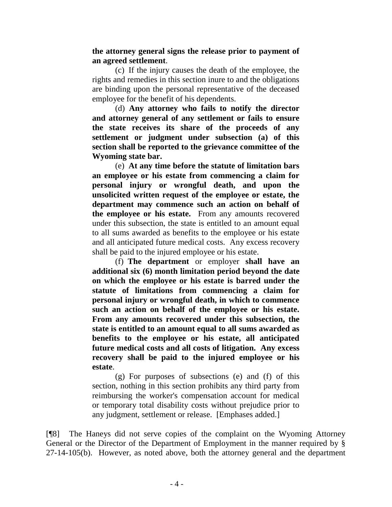**the attorney general signs the release prior to payment of an agreed settlement**.

(c) If the injury causes the death of the employee, the rights and remedies in this section inure to and the obligations are binding upon the personal representative of the deceased employee for the benefit of his dependents.

(d) **Any attorney who fails to notify the director and attorney general of any settlement or fails to ensure the state receives its share of the proceeds of any settlement or judgment under subsection (a) of this section shall be reported to the grievance committee of the Wyoming state bar.**

(e) **At any time before the statute of limitation bars an employee or his estate from commencing a claim for personal injury or wrongful death, and upon the unsolicited written request of the employee or estate, the department may commence such an action on behalf of the employee or his estate.** From any amounts recovered under this subsection, the state is entitled to an amount equal to all sums awarded as benefits to the employee or his estate and all anticipated future medical costs. Any excess recovery shall be paid to the injured employee or his estate.

(f) **The department** or employer **shall have an additional six (6) month limitation period beyond the date on which the employee or his estate is barred under the statute of limitations from commencing a claim for personal injury or wrongful death, in which to commence such an action on behalf of the employee or his estate. From any amounts recovered under this subsection, the state is entitled to an amount equal to all sums awarded as benefits to the employee or his estate, all anticipated future medical costs and all costs of litigation. Any excess recovery shall be paid to the injured employee or his estate**.

(g) For purposes of subsections (e) and (f) of this section, nothing in this section prohibits any third party from reimbursing the worker's compensation account for medical or temporary total disability costs without prejudice prior to any judgment, settlement or release. [Emphases added.]

[¶8] The Haneys did not serve copies of the complaint on the Wyoming Attorney General or the Director of the Department of Employment in the manner required by § 27-14-105(b). However, as noted above, both the attorney general and the department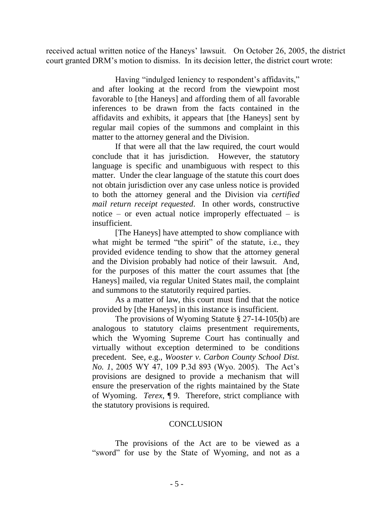received actual written notice of the Haneys' lawsuit. On October 26, 2005, the district court granted DRM's motion to dismiss. In its decision letter, the district court wrote:

> Having "indulged leniency to respondent's affidavits," and after looking at the record from the viewpoint most favorable to [the Haneys] and affording them of all favorable inferences to be drawn from the facts contained in the affidavits and exhibits, it appears that [the Haneys] sent by regular mail copies of the summons and complaint in this matter to the attorney general and the Division.

> If that were all that the law required, the court would conclude that it has jurisdiction. However, the statutory language is specific and unambiguous with respect to this matter. Under the clear language of the statute this court does not obtain jurisdiction over any case unless notice is provided to both the attorney general and the Division via *certified mail return receipt requested*. In other words, constructive notice – or even actual notice improperly effectuated – is insufficient.

> [The Haneys] have attempted to show compliance with what might be termed "the spirit" of the statute, i.e., they provided evidence tending to show that the attorney general and the Division probably had notice of their lawsuit. And, for the purposes of this matter the court assumes that [the Haneys] mailed, via regular United States mail, the complaint and summons to the statutorily required parties.

> As a matter of law, this court must find that the notice provided by [the Haneys] in this instance is insufficient.

> The provisions of Wyoming Statute § 27-14-105(b) are analogous to statutory claims presentment requirements, which the Wyoming Supreme Court has continually and virtually without exception determined to be conditions precedent. See, e.g., *Wooster v. Carbon County School Dist. No. 1*, 2005 WY 47, 109 P.3d 893 (Wyo. 2005). The Act's provisions are designed to provide a mechanism that will ensure the preservation of the rights maintained by the State of Wyoming. *Terex*, ¶ 9. Therefore, strict compliance with the statutory provisions is required.

#### **CONCLUSION**

The provisions of the Act are to be viewed as a "sword" for use by the State of Wyoming, and not as a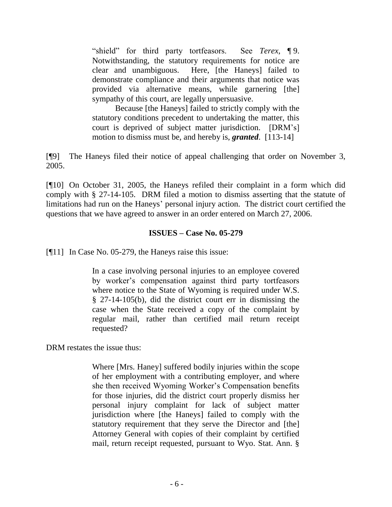"shield" for third party tortfeasors. See *Terex*, ¶ 9. Notwithstanding, the statutory requirements for notice are clear and unambiguous. Here, [the Haneys] failed to demonstrate compliance and their arguments that notice was provided via alternative means, while garnering [the] sympathy of this court, are legally unpersuasive.

Because [the Haneys] failed to strictly comply with the statutory conditions precedent to undertaking the matter, this court is deprived of subject matter jurisdiction. [DRM's] motion to dismiss must be, and hereby is, *granted*. [113-14]

[¶9] The Haneys filed their notice of appeal challenging that order on November 3, 2005.

[¶10] On October 31, 2005, the Haneys refiled their complaint in a form which did comply with § 27-14-105. DRM filed a motion to dismiss asserting that the statute of limitations had run on the Haneys' personal injury action. The district court certified the questions that we have agreed to answer in an order entered on March 27, 2006.

### **ISSUES – Case No. 05-279**

[¶11] In Case No. 05-279, the Haneys raise this issue:

In a case involving personal injuries to an employee covered by worker's compensation against third party tortfeasors where notice to the State of Wyoming is required under W.S. § 27-14-105(b), did the district court err in dismissing the case when the State received a copy of the complaint by regular mail, rather than certified mail return receipt requested?

DRM restates the issue thus:

Where [Mrs. Haney] suffered bodily injuries within the scope of her employment with a contributing employer, and where she then received Wyoming Worker's Compensation benefits for those injuries, did the district court properly dismiss her personal injury complaint for lack of subject matter jurisdiction where [the Haneys] failed to comply with the statutory requirement that they serve the Director and [the] Attorney General with copies of their complaint by certified mail, return receipt requested, pursuant to Wyo. Stat. Ann. §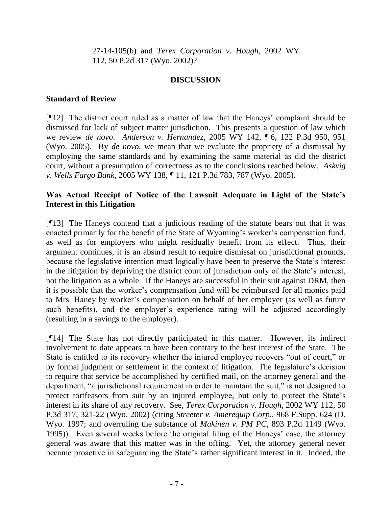27-14-105(b) and *Terex Corporation v. Hough*, 2002 WY 112, 50 P.2d 317 (Wyo. 2002)?

### **DISCUSSION**

### **Standard of Review**

[¶12] The district court ruled as a matter of law that the Haneys' complaint should be dismissed for lack of subject matter jurisdiction. This presents a question of law which we review *de novo*. *Anderson v. Hernandez*, 2005 WY 142, ¶ 6, 122 P.3d 950, 951 (Wyo. 2005). By *de novo*, we mean that we evaluate the propriety of a dismissal by employing the same standards and by examining the same material as did the district court, without a presumption of correctness as to the conclusions reached below. *Askvig v. Wells Fargo Bank*, 2005 WY 138, ¶ 11, 121 P.3d 783, 787 (Wyo. 2005).

# **Was Actual Receipt of Notice of the Lawsuit Adequate in Light of the State's Interest in this Litigation**

[¶13] The Haneys contend that a judicious reading of the statute bears out that it was enacted primarily for the benefit of the State of Wyoming's worker's compensation fund, as well as for employers who might residually benefit from its effect. Thus, their argument continues, it is an absurd result to require dismissal on jurisdictional grounds, because the legislative intention must logically have been to preserve the State's interest in the litigation by depriving the district court of jurisdiction only of the State's interest, not the litigation as a whole. If the Haneys are successful in their suit against DRM, then it is possible that the worker's compensation fund will be reimbursed for all monies paid to Mrs. Haney by worker's compensation on behalf of her employer (as well as future such benefits), and the employer's experience rating will be adjusted accordingly (resulting in a savings to the employer).

[¶14] The State has not directly participated in this matter. However, its indirect involvement to date appears to have been contrary to the best interest of the State. The State is entitled to its recovery whether the injured employee recovers "out of court," or by formal judgment or settlement in the context of litigation. The legislature's decision to require that service be accomplished by certified mail, on the attorney general and the department, "a jurisdictional requirement in order to maintain the suit," is not designed to protect tortfeasors from suit by an injured employee, but only to protect the State's interest in its share of any recovery. See, *Terex Corporation v. Hough*, 2002 WY 112, 50 P.3d 317, 321-22 (Wyo. 2002) (citing *Streeter v. Amerequip Corp.*, 968 F.Supp. 624 (D. Wyo. 1997; and overruling the substance of *Makinen v. PM PC*, 893 P.2d 1149 (Wyo. 1995)). Even several weeks before the original filing of the Haneys' case, the attorney general was aware that this matter was in the offing. Yet, the attorney general never became proactive in safeguarding the State's rather significant interest in it. Indeed, the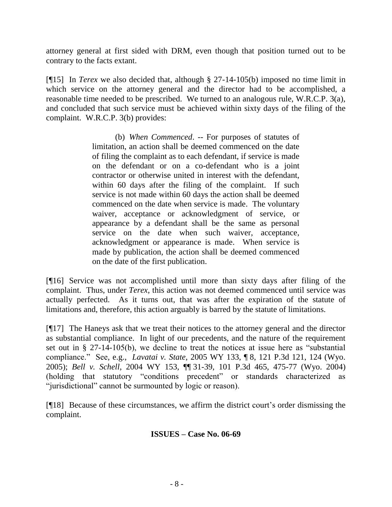attorney general at first sided with DRM, even though that position turned out to be contrary to the facts extant.

[¶15] In *Terex* we also decided that, although § 27-14-105(b) imposed no time limit in which service on the attorney general and the director had to be accomplished, a reasonable time needed to be prescribed. We turned to an analogous rule, W.R.C.P. 3(a), and concluded that such service must be achieved within sixty days of the filing of the complaint. W.R.C.P. 3(b) provides:

> (b) *When Commenced*. -- For purposes of statutes of limitation, an action shall be deemed commenced on the date of filing the complaint as to each defendant, if service is made on the defendant or on a co-defendant who is a joint contractor or otherwise united in interest with the defendant, within 60 days after the filing of the complaint. If such service is not made within 60 days the action shall be deemed commenced on the date when service is made. The voluntary waiver, acceptance or acknowledgment of service, or appearance by a defendant shall be the same as personal service on the date when such waiver, acceptance, acknowledgment or appearance is made. When service is made by publication, the action shall be deemed commenced on the date of the first publication.

[¶16] Service was not accomplished until more than sixty days after filing of the complaint. Thus, under *Terex*, this action was not deemed commenced until service was actually perfected. As it turns out, that was after the expiration of the statute of limitations and, therefore, this action arguably is barred by the statute of limitations.

[¶17] The Haneys ask that we treat their notices to the attorney general and the director as substantial compliance. In light of our precedents, and the nature of the requirement set out in § 27-14-105(b), we decline to treat the notices at issue here as "substantial compliance." See, e.g., *Lavatai v. State*, 2005 WY 133, ¶ 8, 121 P.3d 121, 124 (Wyo. 2005); *Bell v. Schell*, 2004 WY 153, ¶¶ 31-39, 101 P.3d 465, 475-77 (Wyo. 2004) (holding that statutory "conditions precedent" or standards characterized as "jurisdictional" cannot be surmounted by logic or reason).

[¶18] Because of these circumstances, we affirm the district court's order dismissing the complaint.

# **ISSUES – Case No. 06-69**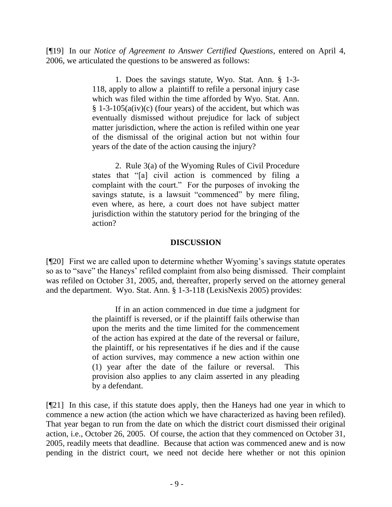[¶19] In our *Notice of Agreement to Answer Certified Questions*, entered on April 4, 2006, we articulated the questions to be answered as follows:

> 1. Does the savings statute, Wyo. Stat. Ann. § 1-3- 118, apply to allow a plaintiff to refile a personal injury case which was filed within the time afforded by Wyo. Stat. Ann.  $§ 1-3-105(a(iv)(c)$  (four years) of the accident, but which was eventually dismissed without prejudice for lack of subject matter jurisdiction, where the action is refiled within one year of the dismissal of the original action but not within four years of the date of the action causing the injury?

> 2. Rule 3(a) of the Wyoming Rules of Civil Procedure states that "[a] civil action is commenced by filing a complaint with the court." For the purposes of invoking the savings statute, is a lawsuit "commenced" by mere filing, even where, as here, a court does not have subject matter jurisdiction within the statutory period for the bringing of the action?

### **DISCUSSION**

[¶20] First we are called upon to determine whether Wyoming's savings statute operates so as to "save" the Haneys' refiled complaint from also being dismissed. Their complaint was refiled on October 31, 2005, and, thereafter, properly served on the attorney general and the department. Wyo. Stat. Ann. § 1-3-118 (LexisNexis 2005) provides:

> If in an action commenced in due time a judgment for the plaintiff is reversed, or if the plaintiff fails otherwise than upon the merits and the time limited for the commencement of the action has expired at the date of the reversal or failure, the plaintiff, or his representatives if he dies and if the cause of action survives, may commence a new action within one (1) year after the date of the failure or reversal. This provision also applies to any claim asserted in any pleading by a defendant.

[¶21] In this case, if this statute does apply, then the Haneys had one year in which to commence a new action (the action which we have characterized as having been refiled). That year began to run from the date on which the district court dismissed their original action, i.e., October 26, 2005. Of course, the action that they commenced on October 31, 2005, readily meets that deadline. Because that action was commenced anew and is now pending in the district court, we need not decide here whether or not this opinion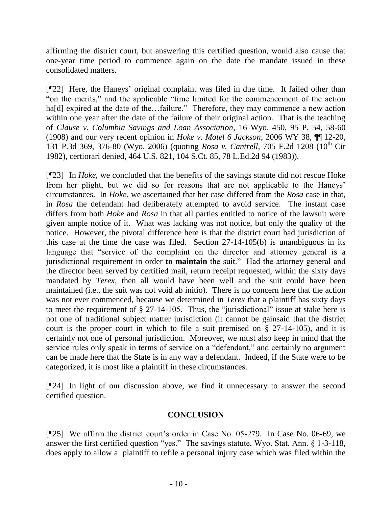affirming the district court, but answering this certified question, would also cause that one-year time period to commence again on the date the mandate issued in these consolidated matters.

[¶22] Here, the Haneys' original complaint was filed in due time. It failed other than "on the merits," and the applicable "time limited for the commencement of the action ha[d] expired at the date of the...failure." Therefore, they may commence a new action within one year after the date of the failure of their original action. That is the teaching of *Clause v. Columbia Savings and Loan Association*, 16 Wyo. 450, 95 P. 54, 58-60 (1908) and our very recent opinion in *Hoke v. Motel 6 Jackson*, 2006 WY 38, ¶¶ 12-20, 131 P.3d 369, 376-80 (Wyo. 2006) (quoting *Rosa v. Cantrell*, 705 F.2d 1208 (10<sup>th</sup> Cir 1982), certiorari denied, 464 U.S. 821, 104 S.Ct. 85, 78 L.Ed.2d 94 (1983)).

[¶23] In *Hoke*, we concluded that the benefits of the savings statute did not rescue Hoke from her plight, but we did so for reasons that are not applicable to the Haneys' circumstances. In *Hoke*, we ascertained that her case differed from the *Rosa* case in that, in *Rosa* the defendant had deliberately attempted to avoid service. The instant case differs from both *Hoke* and *Rosa* in that all parties entitled to notice of the lawsuit were given ample notice of it. What was lacking was not notice, but only the quality of the notice. However, the pivotal difference here is that the district court had jurisdiction of this case at the time the case was filed. Section 27-14-105(b) is unambiguous in its language that "service of the complaint on the director and attorney general is a jurisdictional requirement in order **to maintain** the suit." Had the attorney general and the director been served by certified mail, return receipt requested, within the sixty days mandated by *Terex*, then all would have been well and the suit could have been maintained (i.e., the suit was not void ab initio). There is no concern here that the action was not ever commenced, because we determined in *Terex* that a plaintiff has sixty days to meet the requirement of § 27-14-105. Thus, the "jurisdictional" issue at stake here is not one of traditional subject matter jurisdiction (it cannot be gainsaid that the district court is the proper court in which to file a suit premised on § 27-14-105), and it is certainly not one of personal jurisdiction. Moreover, we must also keep in mind that the service rules only speak in terms of service on a "defendant," and certainly no argument can be made here that the State is in any way a defendant. Indeed, if the State were to be categorized, it is most like a plaintiff in these circumstances.

[¶24] In light of our discussion above, we find it unnecessary to answer the second certified question.

# **CONCLUSION**

[¶25] We affirm the district court's order in Case No. 05-279. In Case No. 06-69, we answer the first certified question "yes." The savings statute, Wyo. Stat. Ann. § 1-3-118, does apply to allow a plaintiff to refile a personal injury case which was filed within the